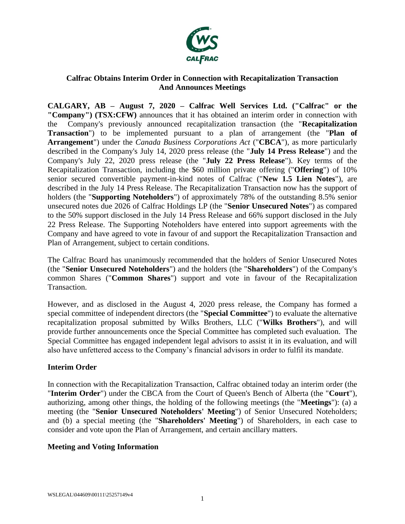

# **Calfrac Obtains Interim Order in Connection with Recapitalization Transaction And Announces Meetings**

**CALGARY, AB – August 7, 2020 – Calfrac Well Services Ltd. ("Calfrac" or the "Company") (TSX:CFW)** announces that it has obtained an interim order in connection with the Company's previously announced recapitalization transaction (the "**Recapitalization Transaction**") to be implemented pursuant to a plan of arrangement (the "**Plan of Arrangement**") under the *Canada Business Corporations Act* ("**CBCA**"), as more particularly described in the Company's July 14, 2020 press release (the "**July 14 Press Release**") and the Company's July 22, 2020 press release (the "**July 22 Press Release**"). Key terms of the Recapitalization Transaction, including the \$60 million private offering ("**Offering**") of 10% senior secured convertible payment-in-kind notes of Calfrac ("**New 1.5 Lien Notes**"), are described in the July 14 Press Release. The Recapitalization Transaction now has the support of holders (the "**Supporting Noteholders**") of approximately 78% of the outstanding 8.5% senior unsecured notes due 2026 of Calfrac Holdings LP (the "**Senior Unsecured Notes**") as compared to the 50% support disclosed in the July 14 Press Release and 66% support disclosed in the July 22 Press Release. The Supporting Noteholders have entered into support agreements with the Company and have agreed to vote in favour of and support the Recapitalization Transaction and Plan of Arrangement, subject to certain conditions.

The Calfrac Board has unanimously recommended that the holders of Senior Unsecured Notes (the "**Senior Unsecured Noteholders**") and the holders (the "**Shareholders**") of the Company's common Shares ("**Common Shares**") support and vote in favour of the Recapitalization Transaction.

However, and as disclosed in the August 4, 2020 press release, the Company has formed a special committee of independent directors (the "**Special Committee**") to evaluate the alternative recapitalization proposal submitted by Wilks Brothers, LLC ("**Wilks Brothers**"), and will provide further announcements once the Special Committee has completed such evaluation. The Special Committee has engaged independent legal advisors to assist it in its evaluation, and will also have unfettered access to the Company's financial advisors in order to fulfil its mandate.

# **Interim Order**

In connection with the Recapitalization Transaction, Calfrac obtained today an interim order (the "**Interim Order**") under the CBCA from the Court of Queen's Bench of Alberta (the "**Court**"), authorizing, among other things, the holding of the following meetings (the "**Meetings**"): (a) a meeting (the "**Senior Unsecured Noteholders' Meeting**") of Senior Unsecured Noteholders; and (b) a special meeting (the "**Shareholders' Meeting**") of Shareholders, in each case to consider and vote upon the Plan of Arrangement, and certain ancillary matters.

#### **Meeting and Voting Information**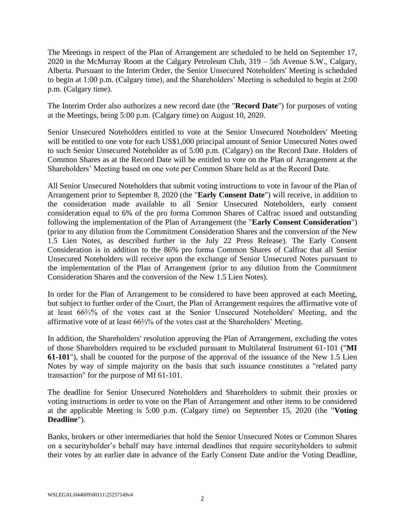The Meetings in respect of the Plan of Arrangement are scheduled to be held on September 17, 2020 in the McMurray Room at the Calgary Petroleum Club, 319 – 5th Avenue S.W., Calgary, Alberta. Pursuant to the Interim Order, the Senior Unsecured Noteholders' Meeting is scheduled to begin at 1:00 p.m. (Calgary time), and the Shareholders' Meeting is scheduled to begin at 2:00 p.m. (Calgary time).

The Interim Order also authorizes a new record date (the "**Record Date**") for purposes of voting at the Meetings, being 5:00 p.m. (Calgary time) on August 10, 2020.

Senior Unsecured Noteholders entitled to vote at the Senior Unsecured Noteholders' Meeting will be entitled to one vote for each US\$1,000 principal amount of Senior Unsecured Notes owed to such Senior Unsecured Noteholder as of 5:00 p.m. (Calgary) on the Record Date. Holders of Common Shares as at the Record Date will be entitled to vote on the Plan of Arrangement at the Shareholders' Meeting based on one vote per Common Share held as at the Record Date.

All Senior Unsecured Noteholders that submit voting instructions to vote in favour of the Plan of Arrangement prior to September 8, 2020 (the "**Early Consent Date**") will receive, in addition to the consideration made available to all Senior Unsecured Noteholders, early consent consideration equal to 6% of the pro forma Common Shares of Calfrac issued and outstanding following the implementation of the Plan of Arrangement (the "**Early Consent Consideration**") (prior to any dilution from the Commitment Consideration Shares and the conversion of the New 1.5 Lien Notes, as described further in the July 22 Press Release). The Early Consent Consideration is in addition to the 86% pro forma Common Shares of Calfrac that all Senior Unsecured Noteholders will receive upon the exchange of Senior Unsecured Notes pursuant to the implementation of the Plan of Arrangement (prior to any dilution from the Commitment Consideration Shares and the conversion of the New 1.5 Lien Notes).

In order for the Plan of Arrangement to be considered to have been approved at each Meeting, but subject to further order of the Court, the Plan of Arrangement requires the affirmative vote of at least 66⅔% of the votes cast at the Senior Unsecured Noteholders' Meeting, and the affirmative vote of at least 66⅔% of the votes cast at the Shareholders' Meeting.

In addition, the Shareholders' resolution approving the Plan of Arrangement, excluding the votes of those Shareholders required to be excluded pursuant to Multilateral Instrument 61-101 ("**MI 61-101**"), shall be counted for the purpose of the approval of the issuance of the New 1.5 Lien Notes by way of simple majority on the basis that such issuance constitutes a "related party transaction" for the purpose of MI 61-101.

The deadline for Senior Unsecured Noteholders and Shareholders to submit their proxies or voting instructions in order to vote on the Plan of Arrangement and other items to be considered at the applicable Meeting is 5:00 p.m. (Calgary time) on September 15, 2020 (the "**Voting Deadline**").

Banks, brokers or other intermediaries that hold the Senior Unsecured Notes or Common Shares on a securityholder's behalf may have internal deadlines that require securityholders to submit their votes by an earlier date in advance of the Early Consent Date and/or the Voting Deadline,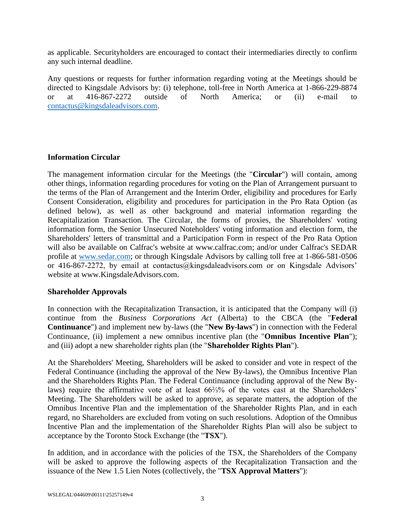as applicable. Securityholders are encouraged to contact their intermediaries directly to confirm any such internal deadline.

Any questions or requests for further information regarding voting at the Meetings should be directed to Kingsdale Advisors by: (i) telephone, toll-free in North America at 1-866-229-8874 or at 416-867-2272 outside of North America; or (ii) e-mail to [contactus@kingsdaleadvisors.com.](mailto:contactus@kingsdaleadvisors.com)

### **Information Circular**

The management information circular for the Meetings (the "**Circular**") will contain, among other things, information regarding procedures for voting on the Plan of Arrangement pursuant to the terms of the Plan of Arrangement and the Interim Order, eligibility and procedures for Early Consent Consideration, eligibility and procedures for participation in the Pro Rata Option (as defined below), as well as other background and material information regarding the Recapitalization Transaction. The Circular, the forms of proxies, the Shareholders' voting information form, the Senior Unsecured Noteholders' voting information and election form, the Shareholders' letters of transmittal and a Participation Form in respect of the Pro Rata Option will also be available on Calfrac's website at www.calfrac.com; and/or under Calfrac's SEDAR profile at [www.sedar.com;](http://www.sedar.com/) or through Kingsdale Advisors by calling toll free at 1-866-581-0506 or 416-867-2272, by email at contactus@kingsdaleadvisors.com or on Kingsdale Advisors' website at www.KingsdaleAdvisors.com.

#### **Shareholder Approvals**

In connection with the Recapitalization Transaction, it is anticipated that the Company will (i) continue from the *Business Corporations Act* (Alberta) to the CBCA (the "**Federal Continuance**") and implement new by-laws (the "**New By-laws**") in connection with the Federal Continuance, (ii) implement a new omnibus incentive plan (the "**Omnibus Incentive Plan**"); and (iii) adopt a new shareholder rights plan (the "**Shareholder Rights Plan**").

At the Shareholders' Meeting, Shareholders will be asked to consider and vote in respect of the Federal Continuance (including the approval of the New By-laws), the Omnibus Incentive Plan and the Shareholders Rights Plan. The Federal Continuance (including approval of the New Bylaws) require the affirmative vote of at least 66⅔% of the votes cast at the Shareholders' Meeting. The Shareholders will be asked to approve, as separate matters, the adoption of the Omnibus Incentive Plan and the implementation of the Shareholder Rights Plan, and in each regard, no Shareholders are excluded from voting on such resolutions. Adoption of the Omnibus Incentive Plan and the implementation of the Shareholder Rights Plan will also be subject to acceptance by the Toronto Stock Exchange (the "**TSX**").

In addition, and in accordance with the policies of the TSX, the Shareholders of the Company will be asked to approve the following aspects of the Recapitalization Transaction and the issuance of the New 1.5 Lien Notes (collectively, the "**TSX Approval Matters**"):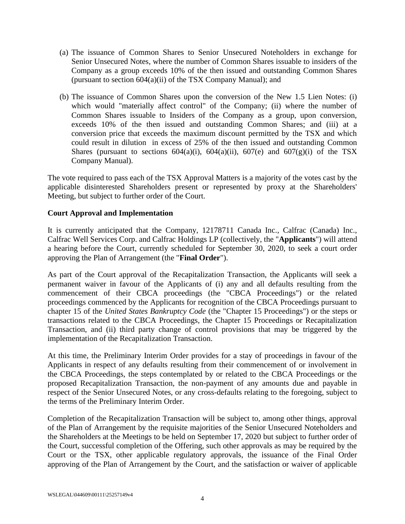- (a) The issuance of Common Shares to Senior Unsecured Noteholders in exchange for Senior Unsecured Notes, where the number of Common Shares issuable to insiders of the Company as a group exceeds 10% of the then issued and outstanding Common Shares (pursuant to section 604(a)(ii) of the TSX Company Manual); and
- (b) The issuance of Common Shares upon the conversion of the New 1.5 Lien Notes: (i) which would "materially affect control" of the Company; (ii) where the number of Common Shares issuable to Insiders of the Company as a group, upon conversion, exceeds 10% of the then issued and outstanding Common Shares; and (iii) at a conversion price that exceeds the maximum discount permitted by the TSX and which could result in dilution in excess of 25% of the then issued and outstanding Common Shares (pursuant to sections  $604(a)(i)$ ,  $604(a)(ii)$ ,  $607(e)$  and  $607(g)(i)$  of the TSX Company Manual).

The vote required to pass each of the TSX Approval Matters is a majority of the votes cast by the applicable disinterested Shareholders present or represented by proxy at the Shareholders' Meeting, but subject to further order of the Court.

### **Court Approval and Implementation**

It is currently anticipated that the Company, 12178711 Canada Inc., Calfrac (Canada) Inc., Calfrac Well Services Corp. and Calfrac Holdings LP (collectively, the "**Applicants**") will attend a hearing before the Court, currently scheduled for September 30, 2020, to seek a court order approving the Plan of Arrangement (the "**Final Order**").

As part of the Court approval of the Recapitalization Transaction, the Applicants will seek a permanent waiver in favour of the Applicants of (i) any and all defaults resulting from the commencement of their CBCA proceedings (the "CBCA Proceedings") or the related proceedings commenced by the Applicants for recognition of the CBCA Proceedings pursuant to chapter 15 of the *United States Bankruptcy Code* (the "Chapter 15 Proceedings") or the steps or transactions related to the CBCA Proceedings, the Chapter 15 Proceedings or Recapitalization Transaction, and (ii) third party change of control provisions that may be triggered by the implementation of the Recapitalization Transaction.

At this time, the Preliminary Interim Order provides for a stay of proceedings in favour of the Applicants in respect of any defaults resulting from their commencement of or involvement in the CBCA Proceedings, the steps contemplated by or related to the CBCA Proceedings or the proposed Recapitalization Transaction, the non-payment of any amounts due and payable in respect of the Senior Unsecured Notes, or any cross-defaults relating to the foregoing, subject to the terms of the Preliminary Interim Order.

Completion of the Recapitalization Transaction will be subject to, among other things, approval of the Plan of Arrangement by the requisite majorities of the Senior Unsecured Noteholders and the Shareholders at the Meetings to be held on September 17, 2020 but subject to further order of the Court, successful completion of the Offering, such other approvals as may be required by the Court or the TSX, other applicable regulatory approvals, the issuance of the Final Order approving of the Plan of Arrangement by the Court, and the satisfaction or waiver of applicable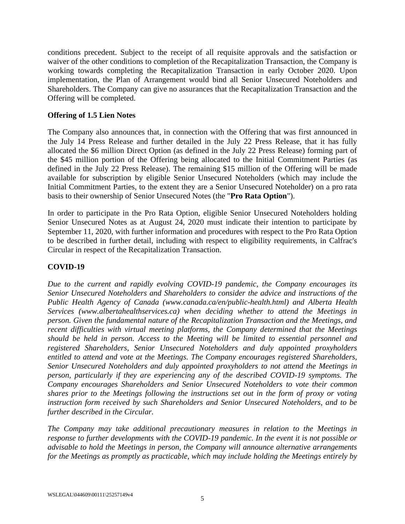conditions precedent. Subject to the receipt of all requisite approvals and the satisfaction or waiver of the other conditions to completion of the Recapitalization Transaction, the Company is working towards completing the Recapitalization Transaction in early October 2020. Upon implementation, the Plan of Arrangement would bind all Senior Unsecured Noteholders and Shareholders. The Company can give no assurances that the Recapitalization Transaction and the Offering will be completed.

#### **Offering of 1.5 Lien Notes**

The Company also announces that, in connection with the Offering that was first announced in the July 14 Press Release and further detailed in the July 22 Press Release, that it has fully allocated the \$6 million Direct Option (as defined in the July 22 Press Release) forming part of the \$45 million portion of the Offering being allocated to the Initial Commitment Parties (as defined in the July 22 Press Release). The remaining \$15 million of the Offering will be made available for subscription by eligible Senior Unsecured Noteholders (which may include the Initial Commitment Parties, to the extent they are a Senior Unsecured Noteholder) on a pro rata basis to their ownership of Senior Unsecured Notes (the "**Pro Rata Option**").

In order to participate in the Pro Rata Option, eligible Senior Unsecured Noteholders holding Senior Unsecured Notes as at August 24, 2020 must indicate their intention to participate by September 11, 2020, with further information and procedures with respect to the Pro Rata Option to be described in further detail, including with respect to eligibility requirements, in Calfrac's Circular in respect of the Recapitalization Transaction.

## **COVID-19**

*Due to the current and rapidly evolving COVID-19 pandemic, the Company encourages its Senior Unsecured Noteholders and Shareholders to consider the advice and instructions of the Public Health Agency of Canada (www.canada.ca/en/public-health.html) and Alberta Health Services (www.albertahealthservices.ca) when deciding whether to attend the Meetings in person. Given the fundamental nature of the Recapitalization Transaction and the Meetings, and recent difficulties with virtual meeting platforms, the Company determined that the Meetings should be held in person. Access to the Meeting will be limited to essential personnel and registered Shareholders, Senior Unsecured Noteholders and duly appointed proxyholders entitled to attend and vote at the Meetings. The Company encourages registered Shareholders, Senior Unsecured Noteholders and duly appointed proxyholders to not attend the Meetings in person, particularly if they are experiencing any of the described COVID-19 symptoms. The Company encourages Shareholders and Senior Unsecured Noteholders to vote their common shares prior to the Meetings following the instructions set out in the form of proxy or voting instruction form received by such Shareholders and Senior Unsecured Noteholders, and to be further described in the Circular.*

*The Company may take additional precautionary measures in relation to the Meetings in response to further developments with the COVID-19 pandemic. In the event it is not possible or advisable to hold the Meetings in person, the Company will announce alternative arrangements for the Meetings as promptly as practicable, which may include holding the Meetings entirely by*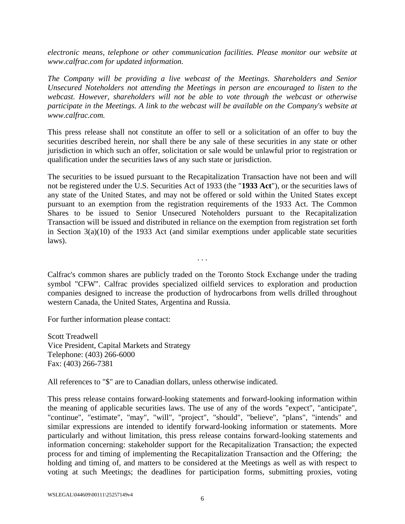*electronic means, telephone or other communication facilities. Please monitor our website at www.calfrac.com for updated information.*

*The Company will be providing a live webcast of the Meetings. Shareholders and Senior Unsecured Noteholders not attending the Meetings in person are encouraged to listen to the webcast. However, shareholders will not be able to vote through the webcast or otherwise participate in the Meetings. A link to the webcast will be available on the Company's website at www.calfrac.com.*

This press release shall not constitute an offer to sell or a solicitation of an offer to buy the securities described herein, nor shall there be any sale of these securities in any state or other jurisdiction in which such an offer, solicitation or sale would be unlawful prior to registration or qualification under the securities laws of any such state or jurisdiction.

The securities to be issued pursuant to the Recapitalization Transaction have not been and will not be registered under the U.S. Securities Act of 1933 (the "**1933 Act**"), or the securities laws of any state of the United States, and may not be offered or sold within the United States except pursuant to an exemption from the registration requirements of the 1933 Act. The Common Shares to be issued to Senior Unsecured Noteholders pursuant to the Recapitalization Transaction will be issued and distributed in reliance on the exemption from registration set forth in Section  $3(a)(10)$  of the 1933 Act (and similar exemptions under applicable state securities laws).

Calfrac's common shares are publicly traded on the Toronto Stock Exchange under the trading symbol "CFW". Calfrac provides specialized oilfield services to exploration and production companies designed to increase the production of hydrocarbons from wells drilled throughout western Canada, the United States, Argentina and Russia.

. . .

For further information please contact:

Scott Treadwell Vice President, Capital Markets and Strategy Telephone: (403) 266-6000 Fax: (403) 266-7381

All references to "\$" are to Canadian dollars, unless otherwise indicated.

This press release contains forward-looking statements and forward-looking information within the meaning of applicable securities laws. The use of any of the words "expect", "anticipate", "continue", "estimate", "may", "will", "project", "should", "believe", "plans", "intends" and similar expressions are intended to identify forward-looking information or statements. More particularly and without limitation, this press release contains forward-looking statements and information concerning: stakeholder support for the Recapitalization Transaction; the expected process for and timing of implementing the Recapitalization Transaction and the Offering; the holding and timing of, and matters to be considered at the Meetings as well as with respect to voting at such Meetings; the deadlines for participation forms, submitting proxies, voting